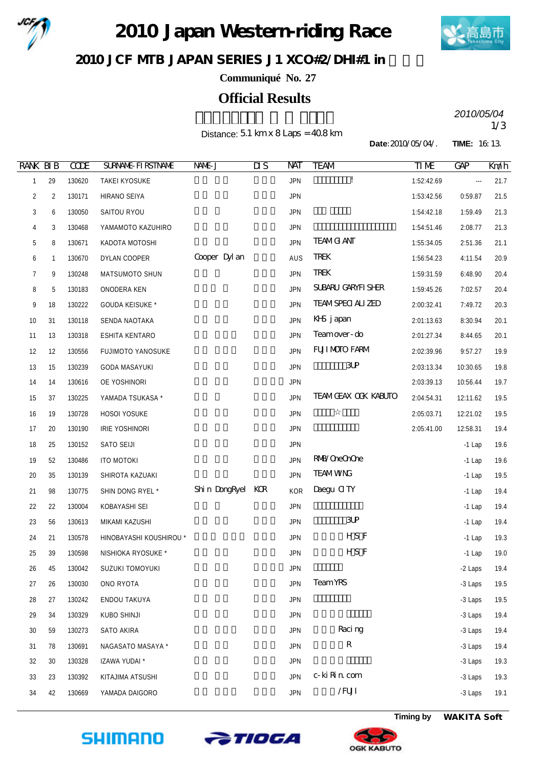

2010 Japan Western riding Race



JCF MIB JAPAN SERIES J1 XCO#2/DHI#1 in

**Communiqué No. 27**

## **Official Results**

Distance:  $5.1 \text{ km} \times 8 \text{ Laps} = 408 \text{ km}$ 

2010/05/04<br>1/3 *2010/05/04*

**Date:**2010/05/04/. **TIME:** 16:13.

| <b>RANK BIB</b> |                | <b>CODE</b> | <b>SURVANE FIRSTIVANE</b> | NAME J            | $\overline{\text{MS}}$ | NAT        | <b>TEAM</b>                | TIME       | <b>GAP</b> | Knáh |
|-----------------|----------------|-------------|---------------------------|-------------------|------------------------|------------|----------------------------|------------|------------|------|
| 1               | 29             | 130620      | TAKEI KYOSUKE             |                   |                        | <b>JPN</b> | Ţ                          | 1:52:42.69 | $\cdots$   | 21.7 |
| 2               | $\overline{2}$ | 130171      | HIRANO SEIYA              |                   |                        | <b>JPN</b> |                            | 1:53:42.56 | 0:59.87    | 21.5 |
| 3               | 6              | 130050      | SAITOU RYOU               |                   |                        | <b>JPN</b> |                            | 1:54:42.18 | 1:59.49    | 21.3 |
| 4               | 3              | 130468      | YAMAMOTO KAZUHIRO         |                   |                        | <b>JPN</b> |                            | 1:54:51.46 | 2:08.77    | 21.3 |
| 5               | 8              | 130671      | KADOTA MOTOSHI            |                   |                        | <b>JPN</b> | <b>TEAMG ANT</b>           | 1:55:34.05 | 2:51.36    | 21.1 |
| 6               | 1              | 130670      | DYLAN COOPER              | Cooper Dyl an     |                        | AUS        | <b>TREK</b>                | 1:56:54.23 | 4:11.54    | 20.9 |
| 7               | 9              | 130248      | MATSUMOTO SHUN            |                   |                        | <b>JPN</b> | <b>TREK</b>                | 1:59:31.59 | 6:48.90    | 20.4 |
| 8               | 5              | 130183      | ONODERA KEN               |                   |                        | <b>JPN</b> | SUBARU GARYFI SHER         | 1:59:45.26 | 7:02.57    | 20.4 |
| 9               | 18             | 130222      | GOUDA KEISUKE *           |                   |                        | <b>JPN</b> | <b>TEAMSPECI ALIZED</b>    | 2:00:32.41 | 7:49.72    | 20.3 |
| 10              | 31             | 130118      | SENDA NAOTAKA             |                   |                        | <b>JPN</b> | KHS japan                  | 2:01:13.63 | 8:30.94    | 20.1 |
| 11              | 13             | 130318      | ESHITA KENTARO            |                   |                        | <b>JPN</b> | Teamover-do                | 2:01:27.34 | 8:44.65    | 20.1 |
| 12              | 12             | 130556      | <b>FUJIMOTO YANOSUKE</b>  |                   |                        | <b>JPN</b> | <b>FUI MOIO FARM</b>       | 2:02:39.96 | 9:57.27    | 19.9 |
| 13              | 15             | 130239      | <b>GODA MASAYUKI</b>      |                   |                        | <b>JPN</b> | $3$ UP                     | 2:03:13.34 | 10:30.65   | 19.8 |
| 14              | 14             | 130616      | OE YOSHINORI              |                   |                        | <b>JPN</b> |                            | 2:03:39.13 | 10:56.44   | 19.7 |
| 15              | 37             | 130225      | YAMADA TSUKASA *          |                   |                        | <b>JPN</b> | <b>TEAMGEAX OCK KABUTO</b> | 2:04:54.31 | 12:11.62   | 19.5 |
| 16              | 19             | 130728      | HOSOI YOSUKE              |                   |                        | <b>JPN</b> |                            | 2:05:03.71 | 12:21.02   | 19.5 |
| 17              | 20             | 130190      | IRIE YOSHINORI            |                   |                        | <b>JPN</b> |                            | 2:05:41.00 | 12:58.31   | 19.4 |
| 18              | 25             | 130152      | SATO SEIJI                |                   |                        | <b>JPN</b> |                            |            | $-1$ Lap   | 19.6 |
| 19              | 52             | 130486      | <b>ITO MOTOKI</b>         |                   |                        | <b>JPN</b> | <b>RMB</b> /OreOrOre       |            | $-1$ Lap   | 19.6 |
| 20              | 35             | 130139      | SHIROTA KAZUAKI           |                   |                        | <b>JPN</b> | <b>TEAMWNG</b>             |            | $-1$ Lap   | 19.5 |
| 21              | 98             | 130775      | SHIN DONG RYEL *          | Shin DongRyel KCR |                        | KOR        | Daegu CITY                 |            | $-1$ Lap   | 19.4 |
| 22              | 22             | 130004      | KOBAYASHI SEI             |                   |                        | <b>JPN</b> |                            |            | $-1$ Lap   | 19.4 |
| 23              | 56             | 130613      | MIKAMI KAZUSHI            |                   |                        | <b>JPN</b> | $3$ UP                     |            | $-1$ Lap   | 19.4 |
| 24              | 21             | 130578      | HINOBAYASHI KOUSHIROU *   |                   |                        | <b>JPN</b> | HS F                       |            | $-1$ Lap   | 19.3 |
| 25              | 39             | 130598      | NISHIOKA RYOSUKE *        |                   |                        | <b>JPN</b> | HS F                       |            | $-1$ Lap   | 19.0 |
| 26              | 45             | 130042      | SUZUKI TOMOYUKI           |                   |                        | <b>JPN</b> |                            |            | -2 Laps    | 19.4 |
| 27              | 26             | 130030      | ONO RYOTA                 |                   |                        | <b>JPN</b> | <b>Team YRS</b>            |            | -3 Laps    | 19.5 |
| 28              | 27             | 130242      | ENDOU TAKUYA              |                   |                        | <b>JPN</b> |                            |            | -3 Laps    | 19.5 |
| 29              | 34             | 130329      | KUBO SHINJI               |                   |                        | <b>JPN</b> |                            |            | -3 Laps    | 19.4 |
| 30              | 59             | 130273      | SATO AKIRA                |                   |                        | <b>JPN</b> | Raci ng                    |            | -3 Laps    | 19.4 |
| 31              | 78             | 130691      | NAGASATO MASAYA *         |                   |                        | <b>JPN</b> | ${\bf R}$                  |            | -3 Laps    | 19.4 |
| 32              | 30             | 130328      | IZAWA YUDAI *             |                   |                        | <b>JPN</b> |                            |            | -3 Laps    | 19.3 |
| 33              | 23             | 130392      | KITAJIMA ATSUSHI          |                   |                        | <b>JPN</b> | c-ki Rin com               |            | -3 Laps    | 19.3 |
| 34              | 42             | 130669      | YAMADA DAIGORO            |                   |                        | <b>JPN</b> | /FUI                       |            | -3 Laps    | 19.1 |







**Timing by** *WAKITA Soft*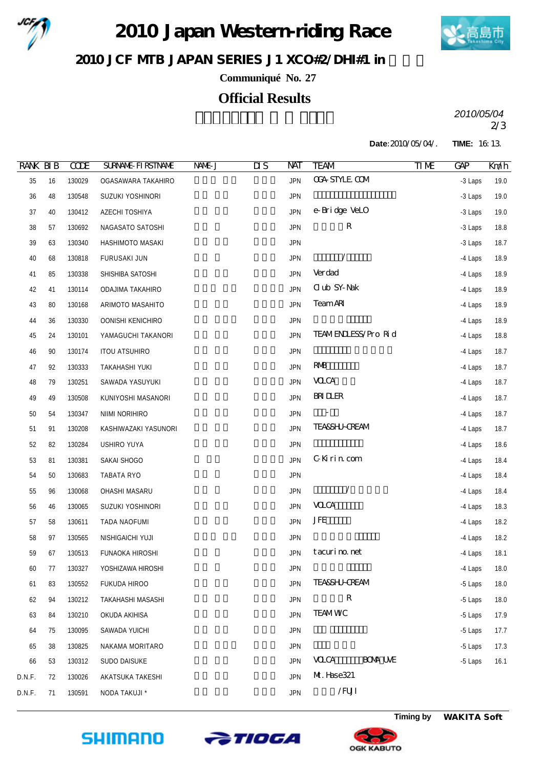

2010 Japan Western riding Race



JCF MIB JAPAN SERIES J1 XCO#2/DHI#1 in

**Communiqué No. 27**

## **Official Results**

2/3 *2010/05/04*

**Date:**2010/05/04/. **TIME:** 16:13.

| <b>RANK BIB</b> |    | <b>CCDE</b> | <b>SURVANE FIRSTIVANE</b> | NAME J | $\overline{\text{MS}}$ | NAT        | <b>TEAM</b>                   | TIME | <b>GAP</b> | Km/h |
|-----------------|----|-------------|---------------------------|--------|------------------------|------------|-------------------------------|------|------------|------|
| 35              | 16 | 130029      | OGASAWARA TAKAHIRO        |        |                        | <b>JPN</b> | <b>CGA STYLE COM</b>          |      | -3 Laps    | 19.0 |
| $36\,$          | 48 | 130548      | SUZUKI YOSHINORI          |        |                        | <b>JPN</b> |                               |      | -3 Laps    | 19.0 |
| 37              | 40 | 130412      | AZECHI TOSHIYA            |        |                        | <b>JPN</b> | e-Bridge VeLO                 |      | -3 Laps    | 19.0 |
| 38              | 57 | 130692      | NAGASATO SATOSHI          |        |                        | <b>JPN</b> | ${\bf R}$                     |      | -3 Laps    | 18.8 |
| 39              | 63 | 130340      | HASHIMOTO MASAKI          |        |                        | <b>JPN</b> |                               |      | -3 Laps    | 18.7 |
| 40              | 68 | 130818      | FURUSAKI JUN              |        |                        | <b>JPN</b> | Ϊ                             |      | -4 Laps    | 18.9 |
| 41              | 85 | 130338      | SHISHIBA SATOSHI          |        |                        | <b>JPN</b> | Verdad                        |      | -4 Laps    | 18.9 |
| 42              | 41 | 130114      | ODAJIMA TAKAHIRO          |        |                        | <b>JPN</b> | C ub SY-Nak                   |      | -4 Laps    | 18.9 |
| 43              | 80 | 130168      | ARIMOTO MASAHITO          |        |                        | <b>JPN</b> | <b>TeamAR</b>                 |      | -4 Laps    | 18.9 |
| 44              | 36 | 130330      | OONISHI KENICHIRO         |        |                        | <b>JPN</b> |                               |      | -4 Laps    | 18.9 |
| 45              | 24 | 130101      | YAMAGUCHI TAKANORI        |        |                        | <b>JPN</b> | TEAMENLESS/Pro Rid            |      | -4 Laps    | 18.8 |
| 46              | 90 | 130174      | <b>ITOU ATSUHIRO</b>      |        |                        | <b>JPN</b> |                               |      | -4 Laps    | 18.7 |
| 47              | 92 | 130333      | TAKAHASHI YUKI            |        |                        | <b>JPN</b> | <b>RMB</b>                    |      | -4 Laps    | 18.7 |
| 48              | 79 | 130251      | SAWADA YASUYUKI           |        |                        | <b>JPN</b> | <b>VOCA</b>                   |      | -4 Laps    | 18.7 |
| 49              | 49 | 130508      | KUNIYOSHI MASANORI        |        |                        | <b>JPN</b> | <b>BRIDER</b>                 |      | -4 Laps    | 18.7 |
| $50\,$          | 54 | 130347      | NIIMI NORIHIRO            |        |                        | <b>JPN</b> |                               |      | -4 Laps    | 18.7 |
| 51              | 91 | 130208      | KASHIWAZAKI YASUNORI      |        |                        | <b>JPN</b> | <b>TEA&amp;SHJ-CREAM</b>      |      | -4 Laps    | 18.7 |
| 52              | 82 | 130284      | <b>USHIRO YUYA</b>        |        |                        | <b>JPN</b> |                               |      | -4 Laps    | 18.6 |
| 53              | 81 | 130381      | SAKAI SHOGO               |        |                        | <b>JPN</b> | GKirin com                    |      | -4 Laps    | 18.4 |
| 54              | 50 | 130683      | TABATA RYO                |        |                        | <b>JPN</b> |                               |      | -4 Laps    | 18.4 |
| 55              | 96 | 130068      | OHASHI MASARU             |        |                        | <b>JPN</b> | Γ                             |      | -4 Laps    | 18.4 |
| 56              | 46 | 130065      | SUZUKI YOSHINORI          |        |                        | <b>JPN</b> | <b>VOCA</b>                   |      | -4 Laps    | 18.3 |
| 57              | 58 | 130611      | TADA NAOFUMI              |        |                        | <b>JPN</b> | <b>JFE</b>                    |      | -4 Laps    | 18.2 |
| 58              | 97 | 130565      | NISHIGAICHI YUJI          |        |                        | <b>JPN</b> |                               |      | -4 Laps    | 18.2 |
| 59              | 67 | 130513      | FUNAOKA HIROSHI           |        |                        | <b>JPN</b> | tacurino.net                  |      | -4 Laps    | 18.1 |
| 60              | 77 | 130327      | YOSHIZAWA HIROSHI         |        |                        | <b>JPN</b> |                               |      | -4 Laps    | 18.0 |
| 61              | 83 | 130552      | FUKUDA HIROO              |        |                        | <b>JPN</b> | <b>TEASSHI-CREAM</b>          |      | -5 Laps    | 18.0 |
| 62              | 94 | 130212      | TAKAHASHI MASASHI         |        |                        | <b>JPN</b> | ${\bf R}$                     |      | -5 Laps    | 18.0 |
| 63              | 84 | 130210      | OKUDA AKIHISA             |        |                        | <b>JPN</b> | <b>TEAMWC</b>                 |      | -5 Laps    | 17.9 |
| 64              | 75 | 130095      | SAWADA YUICHI             |        |                        | <b>JPN</b> |                               |      | -5 Laps    | 17.7 |
| 65              | 38 | 130825      | NAKAMA MORITARO           |        |                        | <b>JPN</b> |                               |      | -5 Laps    | 17.3 |
| 66              | 53 | 130312      | SUDO DAISUKE              |        |                        | <b>JPN</b> | <b>BOM UME</b><br><b>VOCA</b> |      | -5 Laps    | 16.1 |
| D.N.F.          | 72 | 130026      | AKATSUKA TAKESHI          |        |                        | <b>JPN</b> | M. Hase321                    |      |            |      |
| D.N.F.          | 71 | 130591      | NODA TAKUJI *             |        |                        | <b>JPN</b> | / $FUI$                       |      |            |      |